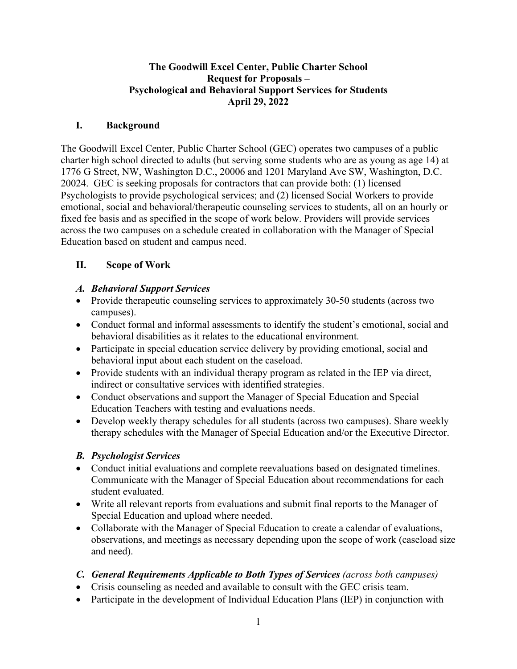#### **The Goodwill Excel Center, Public Charter School Request for Proposals – Psychological and Behavioral Support Services for Students April 29, 2022**

#### **I. Background**

The Goodwill Excel Center, Public Charter School (GEC) operates two campuses of a public charter high school directed to adults (but serving some students who are as young as age 14) at 1776 G Street, NW, Washington D.C., 20006 and 1201 Maryland Ave SW, Washington, D.C. 20024. GEC is seeking proposals for contractors that can provide both: (1) licensed Psychologists to provide psychological services; and (2) licensed Social Workers to provide emotional, social and behavioral/therapeutic counseling services to students, all on an hourly or fixed fee basis and as specified in the scope of work below. Providers will provide services across the two campuses on a schedule created in collaboration with the Manager of Special Education based on student and campus need.

#### **II. Scope of Work**

#### *A. Behavioral Support Services*

- Provide therapeutic counseling services to approximately 30-50 students (across two campuses).
- Conduct formal and informal assessments to identify the student's emotional, social and behavioral disabilities as it relates to the educational environment.
- Participate in special education service delivery by providing emotional, social and behavioral input about each student on the caseload.
- Provide students with an individual therapy program as related in the IEP via direct, indirect or consultative services with identified strategies.
- Conduct observations and support the Manager of Special Education and Special Education Teachers with testing and evaluations needs.
- Develop weekly therapy schedules for all students (across two campuses). Share weekly therapy schedules with the Manager of Special Education and/or the Executive Director.

## *B. Psychologist Services*

- Conduct initial evaluations and complete reevaluations based on designated timelines. Communicate with the Manager of Special Education about recommendations for each student evaluated.
- Write all relevant reports from evaluations and submit final reports to the Manager of Special Education and upload where needed.
- Collaborate with the Manager of Special Education to create a calendar of evaluations, observations, and meetings as necessary depending upon the scope of work (caseload size and need).

## *C. General Requirements Applicable to Both Types of Services (across both campuses)*

- Crisis counseling as needed and available to consult with the GEC crisis team.
- Participate in the development of Individual Education Plans (IEP) in conjunction with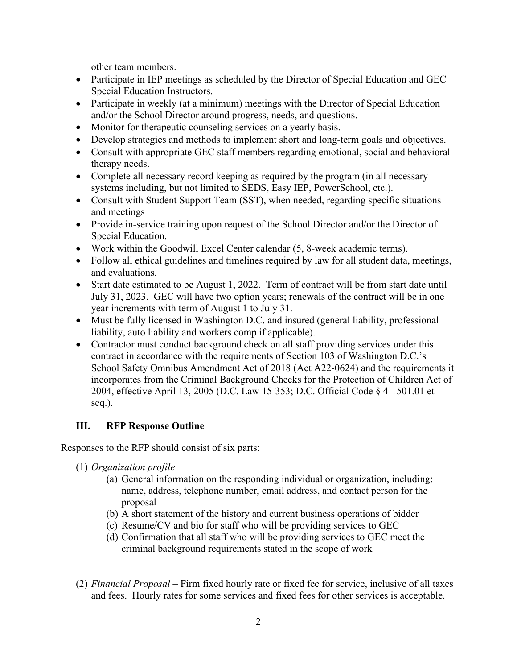other team members.

- Participate in IEP meetings as scheduled by the Director of Special Education and GEC Special Education Instructors.
- Participate in weekly (at a minimum) meetings with the Director of Special Education and/or the School Director around progress, needs, and questions.
- Monitor for therapeutic counseling services on a yearly basis.
- Develop strategies and methods to implement short and long-term goals and objectives.
- Consult with appropriate GEC staff members regarding emotional, social and behavioral therapy needs.
- Complete all necessary record keeping as required by the program (in all necessary systems including, but not limited to SEDS, Easy IEP, PowerSchool, etc.).
- Consult with Student Support Team (SST), when needed, regarding specific situations and meetings
- Provide in-service training upon request of the School Director and/or the Director of Special Education.
- Work within the Goodwill Excel Center calendar (5, 8-week academic terms).
- Follow all ethical guidelines and timelines required by law for all student data, meetings, and evaluations.
- Start date estimated to be August 1, 2022. Term of contract will be from start date until July 31, 2023. GEC will have two option years; renewals of the contract will be in one year increments with term of August 1 to July 31.
- Must be fully licensed in Washington D.C. and insured (general liability, professional liability, auto liability and workers comp if applicable).
- Contractor must conduct background check on all staff providing services under this contract in accordance with the requirements of Section 103 of Washington D.C.'s School Safety Omnibus Amendment Act of 2018 (Act A22-0624) and the requirements it incorporates from the Criminal Background Checks for the Protection of Children Act of 2004, effective April 13, 2005 (D.C. Law 15-353; D.C. Official Code § 4-1501.01 et seq.).

## **III. RFP Response Outline**

Responses to the RFP should consist of six parts:

- (1) *Organization profile*
	- (a) General information on the responding individual or organization, including; name, address, telephone number, email address, and contact person for the proposal
	- (b) A short statement of the history and current business operations of bidder
	- (c) Resume/CV and bio for staff who will be providing services to GEC
	- (d) Confirmation that all staff who will be providing services to GEC meet the criminal background requirements stated in the scope of work
- (2) *Financial Proposal –* Firm fixed hourly rate or fixed fee for service, inclusive of all taxes and fees. Hourly rates for some services and fixed fees for other services is acceptable.